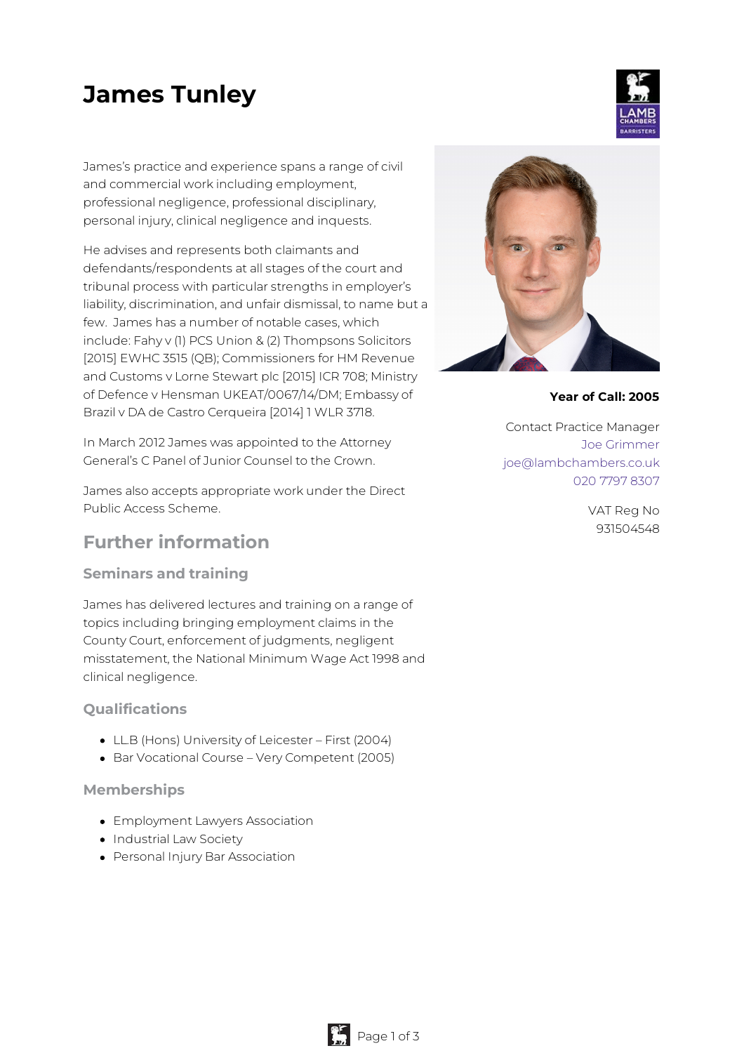# **James Tunley**

James's practice and experience spans a range of civil and commercial work including employment, professional negligence, professional disciplinary, personal injury, clinical negligence and inquests.

He advises and represents both claimants and defendants/respondents at all stages of the court and tribunal process with particular strengths in employer's liability, discrimination, and unfair dismissal, to name but a few. James has a number of notable cases, which include: Fahy v (1) PCS Union & (2) Thompsons Solicitors [2015] EWHC 3515 (QB); Commissioners for HM Revenue and Customs v Lorne Stewart plc [2015] ICR 708; Ministry of Defence v Hensman UKEAT/0067/14/DM; Embassy of Brazil v DA de Castro Cerqueira [2014] 1 WLR 3718.

In March 2012 James was appointed to the Attorney General's C Panel of Junior Counsel to the Crown.

James also accepts appropriate work under the Direct Public Access Scheme.

## **Further information**

## **Seminars and training**

James has delivered lectures and training on a range of topics including bringing employment claims in the County Court, enforcement of judgments, negligent misstatement, the National Minimum Wage Act 1998 and clinical negligence.

## **Qualifications**

- LL.B (Hons) University of Leicester First (2004)
- Bar Vocational Course Very Competent (2005)

#### **Memberships**

- Employment Lawyers Association
- Industrial Law Society
- Personal Injury Bar Association



**Year of Call: 2005**

Contact Practice Manager Joe [Grimmer](mailto:joe@lambchambers.co.uk) [joe@lambchambers.co.uk](mailto:joe@lambchambers.co.uk) 020 7797 [8307](tel:020%207797%208307)

> VAT Reg No 931504548



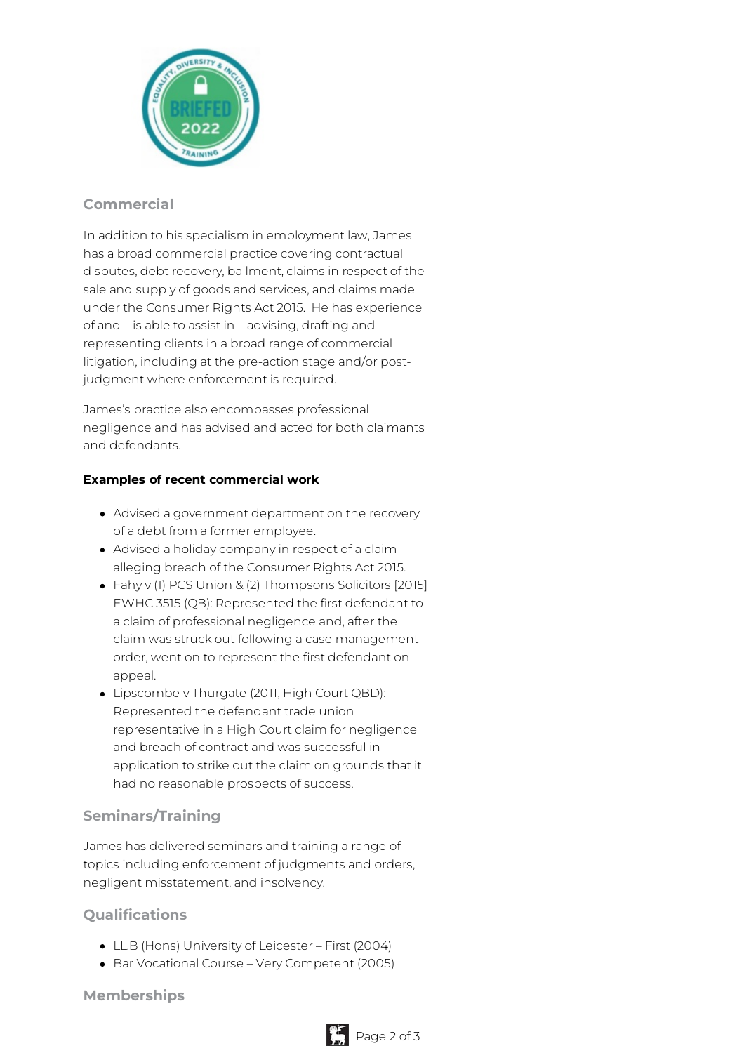

## **Commercial**

In addition to his specialism in employment law, James has a broad commercial practice covering contractual disputes, debt recovery, bailment, claims in respect of the sale and supply of goods and services, and claims made under the Consumer Rights Act 2015. He has experience of and – is able to assist in – advising, drafting and representing clients in a broad range of commercial litigation, including at the pre-action stage and/or postjudgment where enforcement is required.

James's practice also encompasses professional negligence and has advised and acted for both claimants and defendants.

#### **Examples of recent commercial work**

- Advised a government department on the recovery of a debt from a former employee.
- Advised a holiday company in respect of a claim alleging breach of the Consumer Rights Act 2015.
- Fahy v (1) PCS Union & (2) Thompsons Solicitors [2015] EWHC 3515 (QB): Represented the first defendant to a claim of professional negligence and, after the claim was struck out following a case management order, went on to represent the first defendant on appeal.
- Lipscombe v Thurgate (2011, High Court QBD): Represented the defendant trade union representative in a High Court claim for negligence and breach of contract and was successful in application to strike out the claim on grounds that it had no reasonable prospects of success.

## **Seminars/Training**

James has delivered seminars and training a range of topics including enforcement of judgments and orders, negligent misstatement, and insolvency.

## **Qualifications**

- LL.B (Hons) University of Leicester First (2004)
- Bar Vocational Course Very Competent (2005)

**Memberships**